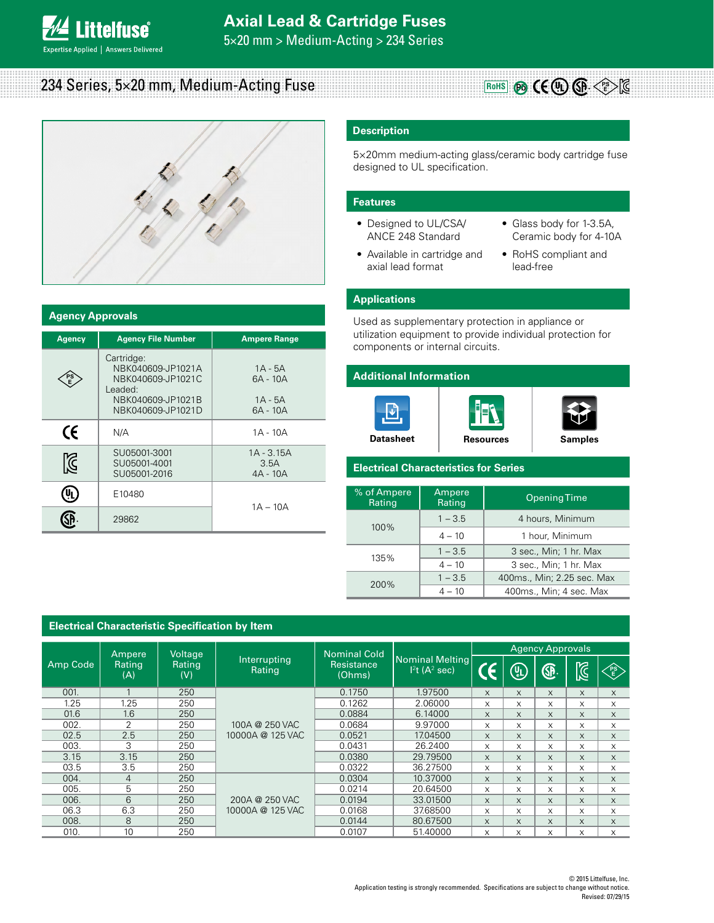**Agency Approvals**

234 Series, 5×20 mm, Medium-Acting Fuse



# **Description**

5×20mm medium-acting glass/ceramic body cartridge fuse designed to UL specification.

# **Features**

- Designed to UL/CSA/ ANCE 248 Standard
- Glass body for 1-3.5A, Ceramic body for 4-10A
- Available in cartridge and axial lead format
- RoHS compliant and lead-free

**RoHS (Pb LE (UL)** (SP- $\leq$  e

# **Applications**

Used as supplementary protection in appliance or utilization equipment to provide individual protection for components or internal circuits.

| Agency                             | <b>Agency File Number</b>                                                                                 | <b>Ampere Range</b>                            |  |  |
|------------------------------------|-----------------------------------------------------------------------------------------------------------|------------------------------------------------|--|--|
| $\mathsf{P}^\mathbf{S}_\mathsf{E}$ | Cartridge:<br>NBK040609-JP1021A<br>NBK040609-JP1021C<br>Leaded:<br>NBK040609-JP1021B<br>NBK040609-JP1021D | $1A - 5A$<br>6A - 10A<br>$1A - 5A$<br>6A - 10A |  |  |
| $\mathfrak{C}$                     | N/A                                                                                                       | $1A - 10A$                                     |  |  |
| $\mathbb{Z}$                       | SU05001-3001<br>SU05001-4001<br>SU05001-2016                                                              | 1A - 3.15A<br>3.5A<br>$4A - 10A$               |  |  |
| ٠Ų.                                | E10480                                                                                                    | $1A - 10A$                                     |  |  |
|                                    | 29862                                                                                                     |                                                |  |  |

| <b>Additional Information</b> |           |                |  |  |  |
|-------------------------------|-----------|----------------|--|--|--|
|                               |           |                |  |  |  |
| <b>Datasheet</b>              | Resources | <b>Samples</b> |  |  |  |

# **Electrical Characteristics for Series**

| % of Ampere<br>Rating | Ampere<br>Rating            | Opening Time               |  |
|-----------------------|-----------------------------|----------------------------|--|
| $100\%$               | $1 - 3.5$                   | 4 hours, Minimum           |  |
|                       | 1 hour, Minimum<br>$4 - 10$ |                            |  |
|                       | $1 - 3.5$                   | 3 sec., Min; 1 hr. Max     |  |
| 135%                  | $4 - 10$                    | 3 sec., Min; 1 hr. Max     |  |
| 200%                  | $1 - 3.5$                   | 400ms., Min; 2.25 sec. Max |  |
|                       | $4 - 10$                    | 400ms., Min; 4 sec. Max    |  |

|          |                         | Voltage       | <b>Nominal Cold</b>    |                      |                                                          | <b>Agency Approvals</b> |                                                          |           |             |           |
|----------|-------------------------|---------------|------------------------|----------------------|----------------------------------------------------------|-------------------------|----------------------------------------------------------|-----------|-------------|-----------|
| Amp Code | Ampere<br>Rating<br>(A) | Rating<br>(V) | Interrupting<br>Rating | Resistance<br>(Ohms) | <b>Nominal Melting</b><br>$ ^{2}$ t (A <sup>2</sup> sec) | 17                      | $\left(\begin{smallmatrix} 0\ 0\end{smallmatrix}\right)$ | <b>GP</b> | $\boxtimes$ | <b>PS</b> |
| 001.     |                         | 250           |                        | 0.1750               | 1.97500                                                  | $\times$                | X                                                        | X         | X           | $\times$  |
| 1.25     | 1.25                    | 250           |                        | 0.1262               | 2.06000                                                  | $\times$                | $\times$                                                 | X         | X           | X         |
| 01.6     | 1.6                     | 250           |                        | 0.0884               | 6.14000                                                  | $\times$                | $\times$                                                 | $\times$  | $\times$    | $\times$  |
| 002.     | 2                       | 250           | 100A @ 250 VAC         | 0.0684               | 9.97000                                                  | X                       | X                                                        | X         | X           | X         |
| 02.5     | 2.5                     | 250           | 10000A @ 125 VAC       | 0.0521               | 17.04500                                                 | $\times$                | $\times$                                                 | $\times$  | X           | X         |
| 003.     | 3                       | 250           |                        | 0.0431               | 26.2400                                                  | X                       | X                                                        | X         | X           | X         |
| 3.15     | 3.15                    | 250           |                        | 0.0380               | 29.79500                                                 | $\times$                | $\times$                                                 | $\times$  | $\times$    | $\times$  |
| 03.5     | 3.5                     | 250           |                        | 0.0322               | 36.27500                                                 | $\times$                | $\times$                                                 | X         | X           | X         |
| 004.     | $\overline{4}$          | 250           |                        | 0.0304               | 10.37000                                                 | $\times$                | X                                                        | $\times$  | X           | $\times$  |
| 005.     | 5                       | 250           |                        | 0.0214               | 20.64500                                                 | X                       | X                                                        | X         | X           | X         |
| 006.     | 6                       | 250           | 200A @ 250 VAC         | 0.0194               | 33.01500                                                 | $\times$                | $\times$                                                 | $\times$  | $\times$    | $\times$  |
| 06.3     | 6.3                     | 250           | 10000A @ 125 VAC       | 0.0168               | 37,68500                                                 | X                       | X                                                        | X         | X           | X         |
| 008.     | 8                       | 250           |                        | 0.0144               | 80.67500                                                 | $\times$                | $\times$                                                 | $\times$  | $\times$    | $\times$  |
| 010.     | 10                      | 250           |                        | 0.0107               | 51.40000                                                 | X                       | X                                                        | X         | X           | X         |

# **Electrical Characteristic Specification by Item**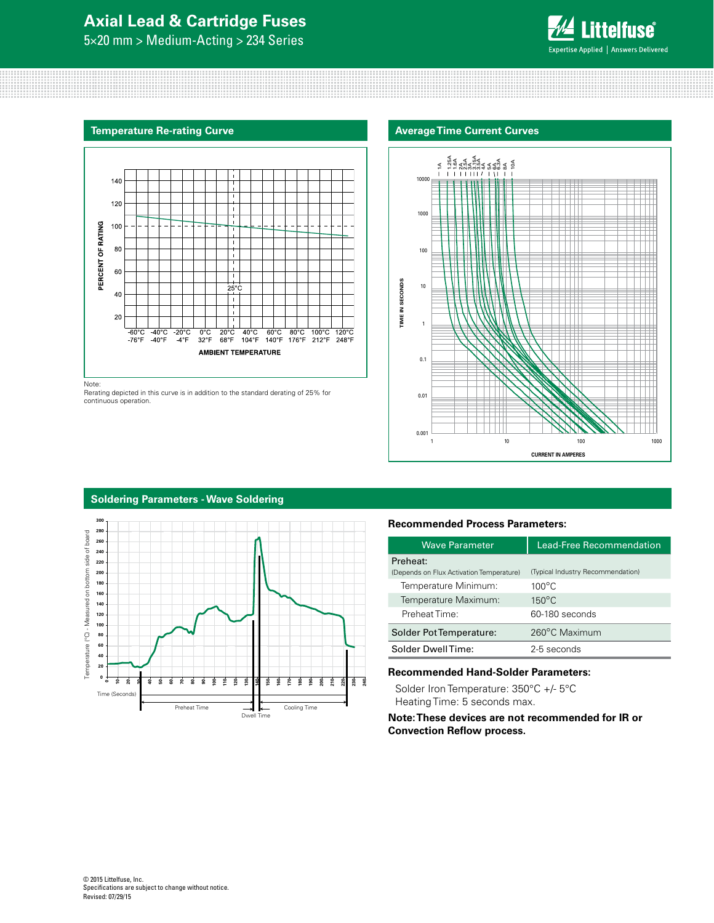# **Axial Lead & Cartridge Fuses**

5×20 mm > Medium-Acting > 234 Series







Note:

Rerating depicted in this curve is in addition to the standard derating of 25% for continuous operation.



#### **Soldering Parameters - Wave Soldering**



#### **Recommended Process Parameters:**

| <b>Wave Parameter</b>                                | Lead-Free Recommendation          |  |  |
|------------------------------------------------------|-----------------------------------|--|--|
| Preheat:<br>(Depends on Flux Activation Temperature) | (Typical Industry Recommendation) |  |  |
| Temperature Minimum:                                 | $100^{\circ}$ C.                  |  |  |
| Temperature Maximum:                                 | $150^{\circ}$ C                   |  |  |
| Preheat Time:                                        | 60-180 seconds                    |  |  |
| Solder Pot Temperature:                              | 260°C Maximum                     |  |  |
| Solder DwellTime:                                    | 2-5 seconds                       |  |  |

#### **Recommended Hand-Solder Parameters:**

Solder Iron Temperature: 350°C +/- 5°C Heating Time: 5 seconds max.

## **Note: These devices are not recommended for IR or Convection Reflow process.**